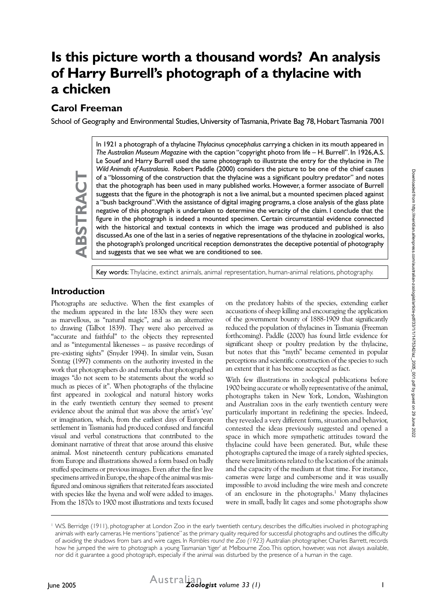# **Is this picture worth a thousand words? An analysis of Harry Burrell's photograph of a thylacine with a chicken**

## **Carol Freeman**

School of Geography and Environmental Studies, University of Tasmania, Private Bag 78, Hobart Tasmania 7001

In 1921 a photograph of a thylacine *Thylacinus cynocephalus* carrying a chicken in its mouth appeared in *The Australian Museum Magazine* with the caption "copyright photo from life – H. Burrell". In 1926, A.S. Le Souef and Harry Burrell used the same photograph to illustrate the entry for the thylacine in *The Wild Animals of Australasia*. Robert Paddle (2000) considers the picture to be one of the chief causes of a "blossoming of the construction that the thylacine was a significant poultry predator" and notes that the photograph has been used in many published works. However, a former associate of Burrell suggests that the figure in the photograph is not a live animal, but a mounted specimen placed against a "bush background". With the assistance of digital imaging programs, a close analysis of the glass plate negative of this photograph is undertaken to determine the veracity of the claim. I conclude that the figure in the photograph is indeed a mounted specimen. Certain circumstantial evidence connected with the historical and textual contexts in which the image was produced and published is also discussed. As one of the last in a series of negative representations of the thylacine in zoological works, the photograph's prolonged uncritical reception demonstrates the deceptive potential of photography and suggests that we see what we are conditioned to see.

Key words: Thylacine, extinct animals, animal representation, human-animal relations, photography.

#### **Introduction**

**ABSTRACT**

ABSTRACT

Photographs are seductive. When the first examples of the medium appeared in the late 1830s they were seen as marvellous, as "natural magic", and as an alternative to drawing (Talbot 1839). They were also perceived as "accurate and faithful" to the objects they represented and as "integumental likenesses – as passive recordings of pre-existing sights" (Snyder 1994). In similar vein, Susan Sontag (1997) comments on the authority invested in the work that photographers do and remarks that photographed images "do not seem to be statements about the world so much as pieces of it". When photographs of the thylacine first appeared in zoological and natural history works in the early twentieth century they seemed to present evidence about the animal that was above the artist's 'eye' or imagination, which, from the earliest days of European settlement in Tasmania had produced confused and fanciful visual and verbal constructions that contributed to the dominant narrative of threat that arose around this elusive animal. Most nineteenth century publications emanated from Europe and illustrations showed a form based on badly stuffed specimens or previous images. Even after the first live specimens arrived in Europe, the shape of the animal was misfigured and ominous signifiers that reiterated fears associated with species like the hyena and wolf were added to images. From the 1870s to 1900 most illustrations and texts focused

on the predatory habits of the species, extending earlier accusations of sheep killing and encouraging the application of the government bounty of 1888-1909 that significantly reduced the population of thylacines in Tasmania (Freeman forthcoming). Paddle (2000) has found little evidence for significant sheep or poultry predation by the thylacine, but notes that this "myth" became cemented in popular perceptions and scientific construction of the species to such an extent that it has become accepted as fact.

With few illustrations in zoological publications before 1900 being accurate or wholly representative of the animal, photographs taken in New York, London, Washington and Australian zoos in the early twentieth century were particularly important in redefining the species. Indeed, they revealed a very different form, situation and behavior, contested the ideas previously suggested and opened a space in which more sympathetic attitudes toward the thylacine could have been generated. But, while these photographs captured the image of a rarely sighted species, there were limitations related to the location of the animals and the capacity of the medium at that time. For instance, cameras were large and cumbersome and it was usually impossible to avoid including the wire mesh and concrete of an enclosure in the photographs.<sup>1</sup> Many thylacines were in small, badly lit cages and some photographs show

<sup>1</sup> W.S. Berridge (1911), photographer at London Zoo in the early twentieth century, describes the difficulties involved in photographing animals with early cameras. He mentions "patience" as the primary quality required for successful photographs and outlines the difficulty of avoiding the shadows from bars and wire cages. In *Rambles round the Zoo (1923)* Australian photographer, Charles Barrett, records how he jumped the wire to photograph a young Tasmanian 'tiger' at Melbourne Zoo. This option, however, was not always available, nor did it guarantee a good photograph, especially if the animal was disturbed by the presence of a human in the cage.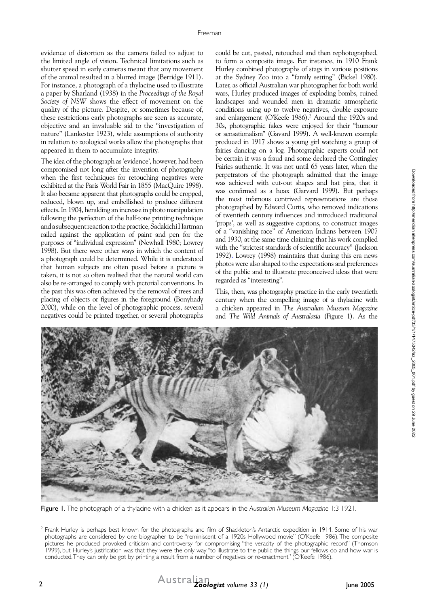evidence of distortion as the camera failed to adjust to the limited angle of vision. Technical limitations such as shutter speed in early cameras meant that any movement of the animal resulted in a blurred image (Berridge 1911). For instance, a photograph of a thylacine used to illustrate a paper by Sharland (1938) in the *Proceedings of the Royal Society of NSW* shows the effect of movement on the quality of the picture. Despite, or sometimes because of, these restrictions early photographs are seen as accurate, objective and an invaluable aid to the "investigation of nature" (Lankester 1923), while assumptions of authority in relation to zoological works allow the photographs that appeared in them to accumulate integrity.

The idea of the photograph as 'evidence', however, had been compromised not long after the invention of photography when the first techniques for retouching negatives were exhibited at the Paris World Fair in 1855 (MacQuire 1998). It also became apparent that photographs could be cropped, reduced, blown up, and embellished to produce different effects. In 1904, heralding an increase in photo manipulation following the perfection of the half-tone printing technique and a subsequent reaction to the practice, Sadakichi Hartman railed against the application of paint and pen for the purposes of "individual expression" (Newhall 1980; Lowrey 1998). But there were other ways in which the content of a photograph could be determined. While it is understood that human subjects are often posed before a picture is taken, it is not so often realised that the natural world can also be re-arranged to comply with pictorial conventions. In the past this was often achieved by the removal of trees and placing of objects or figures in the foreground (Bonyhady 2000), while on the level of photographic process, several negatives could be printed together, or several photographs

could be cut, pasted, retouched and then rephotographed, to form a composite image. For instance, in 1910 Frank Hurley combined photographs of stags in various positions at the Sydney Zoo into a "family setting" (Bickel 1980). Later, as official Australian war photographer for both world wars, Hurley produced images of exploding bombs, ruined landscapes and wounded men in dramatic atmospheric conditions using up to twelve negatives, double exposure and enlargement (O'Keefe 1986).<sup>2</sup> Around the 1920s and 30s, photographic fakes were enjoyed for their "humour or sensationalism" (Gavard 1999). A well-known example produced in 1917 shows a young girl watching a group of fairies dancing on a log. Photographic experts could not be certain it was a fraud and some declared the Cottingley Fairies authentic. It was not until 65 years later, when the perpetrators of the photograph admitted that the image was achieved with cut-out shapes and hat pins, that it was confirmed as a hoax (Garvard 1999). But perhaps the most infamous contrived representations are those photographed by Edward Curtis, who removed indications of twentieth century influences and introduced traditional 'props', as well as suggestive captions, to construct images of a "vanishing race" of American Indians between 1907 and 1930, at the same time claiming that his work complied with the "strictest standards of scientific accuracy" (Jackson 1992). Lowrey (1998) maintains that during this era news photos were also shaped to the expectations and preferences of the public and to illustrate preconceived ideas that were regarded as "interesting".

This, then, was photography practice in the early twentieth century when the compelling image of a thylacine with a chicken appeared in *The Australian Museum Magazine* and *The Wild Animals of Australasia* (Figure 1). As the



Figure 1. The photograph of a thylacine with a chicken as it appears in the *Australian Museum Magazine* 1:3 1921.



<sup>&</sup>lt;sup>2</sup> Frank Hurley is perhaps best known for the photographs and film of Shackleton's Antarctic expedition in 1914. Some of his war photographs are considered by one biographer to be "reminiscent of a 1920s Hollywood movie" (O'Keefe 1986). The composite pictures he produced provoked criticism and controversy for compromising "the veracity of the photographic record" (Thomson 1999), but Hurley's justification was that they were the only way "to illustrate to the public the things our fellows do and how war is conducted. They can only be got by printing a result from a number of negatives or re-enactment" (O'Keefe 1986).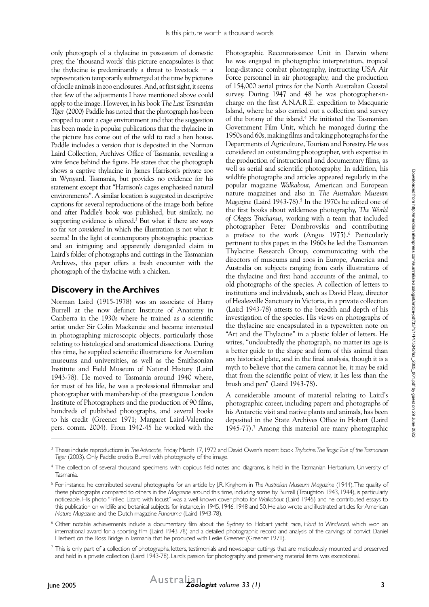only photograph of a thylacine in possession of domestic prey, the 'thousand words' this picture encapsulates is that the thylacine is predominantly a threat to livestock  $-$  a representation temporarily submerged at the time by pictures of docile animals in zoo enclosures. And, at first sight, it seems that few of the adjustments I have mentioned above could apply to the image. However, in his book *The Last Tasmanian Tiger* (2000) Paddle has noted that the photograph has been cropped to omit a cage environment and that the suggestion has been made in popular publications that the thylacine in the picture has come out of the wild to raid a hen house. Paddle includes a version that is deposited in the Norman Laird Collection, Archives Office of Tasmania, revealing a wire fence behind the figure. He states that the photograph shows a captive thylacine in James Harrison's private zoo in Wynyard, Tasmania, but provides no evidence for his statement except that "Harrison's cages emphasised natural environments". A similar location is suggested in descriptive captions for several reproductions of the image both before and after Paddle's book was published, but similarly, no supporting evidence is offered. $3$  But what if there are ways so far *not considered* in which the illustration is not what it seems? In the light of contemporary photographic practices and an intriguing and apparently disregarded claim in Laird's folder of photographs and cuttings in the Tasmanian Archives, this paper offers a fresh encounter with the photograph of the thylacine with a chicken.

## **Discovery in the Archives**

Norman Laird (1915-1978) was an associate of Harry Burrell at the now defunct Institute of Anatomy in Canberra in the 1930s where he trained as a scientific artist under Sir Colin Mackenzie and became interested in photographing microscopic objects, particularly those relating to histological and anatomical dissections. During this time, he supplied scientific illustrations for Australian museums and universities, as well as the Smithsonian Institute and Field Museum of Natural History (Laird 1943-78). He moved to Tasmania around 1940 where, for most of his life, he was a professional filmmaker and photographer with membership of the prestigious London Institute of Photographers and the production of 90 films, hundreds of published photographs, and several books to his credit (Greener 1971; Margaret Laird-Valentine pers. comm. 2004). From 1942-45 he worked with the

Photographic Reconnaissance Unit in Darwin where he was engaged in photographic interpretation, tropical long-distance combat photography, instructing USA Air Force personnel in air photography, and the production of 154,000 aerial prints for the North Australian Coastal survey. During 1947 and 48 he was photographer-incharge on the first A.N.A.R.E. expedition to Macquarie Island, where he also carried out a collection and survey of the botany of the island.<sup>4</sup> He initiated the Tasmanian Government Film Unit, which he managed during the 1950s and 60s, making films and taking photographs for the Departments of Agriculture, Tourism and Forestry. He was considered an outstanding photographer, with expertise in the production of instructional and documentary films, as well as aerial and scientific photography. In addition, his wildlife photographs and articles appeared regularly in the popular magazine *Walkabout,* American and European nature magazines and also in *The Australian Museum Magazine* (Laird 1943-78)*.* <sup>5</sup> In the 1970s he edited one of the first books about wilderness photography, *The World of Olegas Truchanus*, working with a team that included photographer Peter Dombrovskis and contributing a preface to the work (Angus 1975).<sup>6</sup> Particularly pertinent to this paper, in the 1960s he led the Tasmanian Thylacine Research Group, communicating with the directors of museums and zoos in Europe, America and Australia on subjects ranging from early illustrations of the thylacine and first hand accounts of the animal, to old photographs of the species. A collection of letters to institutions and individuals, such as David Fleay, director of Healesville Sanctuary in Victoria, in a private collection (Laird 1943-78) attests to the breadth and depth of his investigation of the species. His views on photographs of the thylacine are encapsulated in a typewritten note on "Art and the Thylacine" in a plastic folder of letters. He writes, "undoubtedly the photograph, no matter its age is a better guide to the shape and form of this animal than any historical plate, and in the final analysis, though it is a myth to believe that the camera cannot lie, it may be said that from the scientific point of view, it lies less than the brush and pen" (Laird 1943-78).

A considerable amount of material relating to Laird's photographic career, including papers and photographs of his Antarctic visit and native plants and animals, has been deposited in the State Archives Office in Hobart (Laird 1945-77).7 Among this material are many photographic

<sup>3</sup> These include reproductions in *The Advocate,* Friday March 17, 1972 and David Owen's recent book *Thylacine: The Tragic Tale of the Tasmanian Tiger* (2003). Only Paddle credits Burrell with photography of the image.

<sup>4</sup> The collection of several thousand specimens, with copious field notes and diagrams, is held in the Tasmanian Herbarium, University of Tasmania.

<sup>5</sup> For instance, he contributed several photographs for an article by J.R. Kinghorn in *The Australian Museum Magazine* (1944). The quality of these photographs compared to others in the *Magazine* around this time, including some by Burrell (Troughton 1943, 1944), is particularly noticeable. His photo "Frilled Lizard with locust" was a well-known cover photo for *Walkabout* (Laird 1945) and he contributed essays to this publication on wildlife and botanical subjects, for instance, in 1945, 1946, 1948 and 50.He also wrote and illustrated articles for American *Nature Magazine* and the Dutch magazine *Panorama* (Laird 1943-78).

<sup>6</sup> Other notable achievements include a documentary film about the Sydney to Hobart yacht race, *Hard to Windward*, which won an international award for a sporting film (Laird 1943-78) and a detailed photographic record and analysis of the carvings of convict Daniel Herbert on the Ross Bridge in Tasmania that he produced with Leslie Greener (Greener 1971).

 $^7$  This is only part of a collection of photographs, letters, testimonials and newspaper cuttings that are meticulously mounted and preserved and held in a private collection (Laird 1943-78). Laird's passion for photography and preserving material items was exceptional.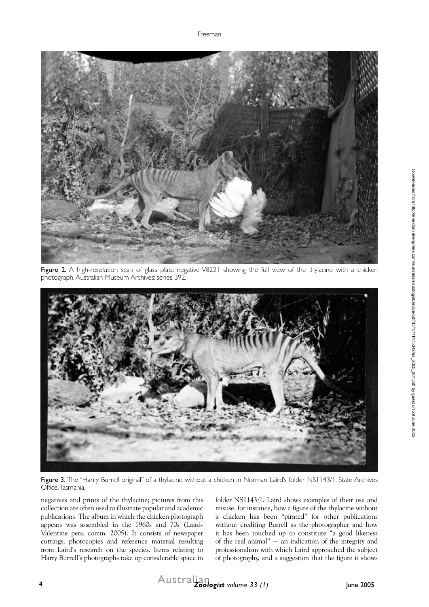Freeman



Figure 2. A high-resolution scan of glass plate negative V8221 showing the full view of the thylacine with a chicken photograph. Australian Museum Archives: series 392.



Figure 3. The "Harry Burrell original" of a thylacine without a chicken in Norman Laird's folder NS1143/1. State Archives Office, Tasmania.

negatives and prints of the thylacine; pictures from this collection are often used to illustrate popular and academic publications. The album in which the chicken photograph appears was assembled in the 1960s and 70s (Laird-Valentine pers. comm. 2005). It consists of newspaper cuttings, photocopies and reference material resulting from Laird's research on the species. Items relating to Harry Burrell's photographs take up considerable space in

folder NS1143/1. Laird shows examples of their use and misuse, for instance, how a figure of the thylacine without a chicken has been "pirated" for other publications without crediting Burrell as the photographer and how it has been touched up to constitute "a good likeness of the real animal" − an indication of the integrity and professionalism with which Laird approached the subject of photography, and a suggestion that the figure it shows

4 *Australian Australian Zoologist volume 33 (1)* June 2005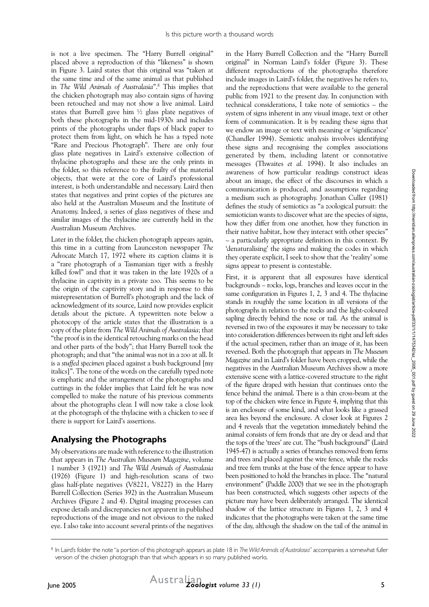is not a live specimen. The "Harry Burrell original" placed above a reproduction of this "likeness" is shown in Figure 3. Laird states that this original was "taken at the same time and of the same animal as that published in *The Wild Animals of Australasia*".8 This implies that the chicken photograph may also contain signs of having been retouched and may not show a live animal. Laird states that Burrell gave him ½ glass plate negatives of both these photographs in the mid-1930s and includes prints of the photographs under flaps of black paper to protect them from light, on which he has a typed note "Rare and Precious Photograph". There are only four glass plate negatives in Laird's extensive collection of thylacine photographs and these are the only prints in the folder, so this reference to the frailty of the material objects, that were at the core of Laird's professional interest, is both understandable and necessary. Laird then states that negatives and print copies of the pictures are also held at the Australian Museum and the Institute of Anatomy. Indeed, a series of glass negatives of these and similar images of the thylacine are currently held in the Australian Museum Archives.

Later in the folder, the chicken photograph appears again, this time in a cutting from Launceston newspaper *The Advocate* March 17, 1972 where its caption claims it is a "rare photograph of a Tasmanian tiger with a freshly killed fowl" and that it was taken in the late 1920s of a thylacine in captivity in a private zoo. This seems to be the origin of the captivity story and in response to this misrepresentation of Burrell's photograph and the lack of acknowledgment of its source, Laird now provides explicit details about the picture. A typewritten note below a photocopy of the article states that the illustration is a copy of the plate from *The Wild Animals of Australasia*; that "the proof is in the identical retouching marks on the head and other parts of the body"; that Harry Burrell took the photograph; and that "the animal was not in a zoo at all. It is a *stuffed specimen* placed against a bush background [my italics]". The tone of the words on the carefully typed note is emphatic and the arrangement of the photographs and cuttings in the folder implies that Laird felt he was now compelled to make the nature of his previous comments about the photographs clear. I will now take a close look at the photograph of the thylacine with a chicken to see if there is support for Laird's assertions.

## **Analysing the Photographs**

My observations are made with reference to the illustration that appears in *The Australian Museum Magazine*, volume 1 number 3 (1921) and *The Wild Animals of Australasia* (1926) (Figure 1) and high-resolution scans of two glass half-plate negatives (V8221, V8227) in the Harry Burrell Collection (Series 392) in the Australian Museum Archives (Figure 2 and 4). Digital imaging processes can expose details and discrepancies not apparent in published reproductions of the image and not obvious to the naked eye. I also take into account several prints of the negatives

in the Harry Burrell Collection and the "Harry Burrell original" in Norman Laird's folder (Figure 3). These different reproductions of the photographs therefore include images in Laird's folder, the negatives he refers to, and the reproductions that were available to the general public from 1921 to the present day. In conjunction with technical considerations, I take note of semiotics – the system of signs inherent in any visual image, text or other form of communication. It is by reading these signs that we endow an image or text with meaning or 'significance' (Chandler 1994). Semiotic analysis involves identifying these signs and recognising the complex associations generated by them, including latent or connotative messages (Thwaites *et al.* 1994). It also includes an awareness of how particular readings construct ideas about an image, the effect of the discourses in which a communication is produced, and assumptions regarding a medium such as photography. Jonathan Culler (1981) defines the study of semiotics as "a zoological pursuit: the semiotician wants to discover what are the species of signs, how they differ from one another, how they function in their native habitat, how they interact with other species" – a particularly appropriate definition in this context. By 'denaturalising' the signs and making the codes in which they operate explicit, I seek to show that the 'reality' some signs appear to present is contestable.

First, it is apparent that all exposures have identical backgrounds – rocks, logs, branches and leaves occur in the same configuration in Figures 1, 2, 3 and 4. The thylacine stands in roughly the same location in all versions of the photographs in relation to the rocks and the light-coloured sapling directly behind the nose or tail. As the animal is reversed in two of the exposures it may be necessary to take into consideration differences between its right and left sides if the actual specimen, rather than an image of it, has been reversed. Both the photograph that appears in *The Museum Magazine* and in Laird's folder have been cropped, while the negatives in the Australian Museum Archives show a more extensive scene with a lattice-covered structure to the right of the figure draped with hessian that continues onto the fence behind the animal. There is a thin cross-beam at the top of the chicken wire fence in Figure 4, implying that this is an enclosure of some kind, and what looks like a grassed area lies beyond the enclosure. A closer look at Figures 2 and 4 reveals that the vegetation immediately behind the animal consists of fern fronds that are dry or dead and that the tops of the 'trees' are cut. The "bush background" (Laird 1945-47) is actually a series of branches removed from ferns and trees and placed against the wire fence, while the rocks and tree fern trunks at the base of the fence appear to have been positioned to hold the branches in place. The "natural environment" (Paddle 2000) that we see in the photograph has been constructed, which suggests other aspects of the picture may have been deliberately arranged. The identical shadow of the lattice structure in Figures 1, 2, 3 and 4 indicates that the photographs were taken at the same time of the day, although the shadow on the tail of the animal in

<sup>8</sup> In Laird's folder the note "a portion of this photograph appears as plate 18 in *The Wild Animals of Australasia*" accompanies a somewhat fuller version of the chicken photograph than that which appears in so many published works.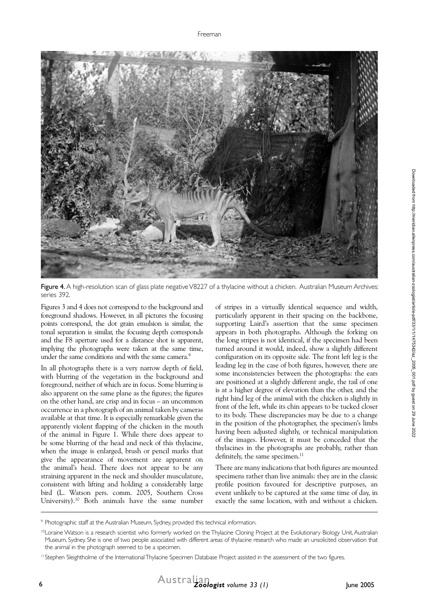

Figure 4. A high-resolution scan of glass plate negative V8227 of a thylacine without a chicken. Australian Museum Archives: series 392.

Figures 3 and 4 does not correspond to the background and foreground shadows. However, in all pictures the focusing points correspond, the dot grain emulsion is similar, the tonal separation is similar, the focusing depth corresponds and the F8 aperture used for a distance shot is apparent, implying the photographs were taken at the same time, under the same conditions and with the same camera.<sup>9</sup>

In all photographs there is a very narrow depth of field, with blurring of the vegetation in the background and foreground, neither of which are in focus. Some blurring is also apparent on the same plane as the figures; the figures on the other hand, are crisp and in focus – an uncommon occurrence in a photograph of an animal taken by cameras available at that time. It is especially remarkable given the apparently violent flapping of the chicken in the mouth of the animal in Figure 1. While there does appear to be some blurring of the head and neck of this thylacine, when the image is enlarged, brush or pencil marks that give the appearance of movement are apparent on the animal's head. There does not appear to be any straining apparent in the neck and shoulder musculature, consistent with lifting and holding a considerably large bird (L. Watson pers. comm. 2005, Southern Cross University).10 Both animals have the same number

of stripes in a virtually identical sequence and width, particularly apparent in their spacing on the backbone, supporting Laird's assertion that the same specimen appears in both photographs. Although the forking on the long stripes is not identical, if the specimen had been turned around it would, indeed, show a slightly different configuration on its opposite side. The front left leg is the leading leg in the case of both figures, however, there are some inconsistencies between the photographs: the ears are positioned at a slightly different angle, the tail of one is at a higher degree of elevation than the other, and the right hind leg of the animal with the chicken is slightly in front of the left, while its chin appears to be tucked closer to its body. These discrepancies may be due to a change in the position of the photographer, the specimen's limbs having been adjusted slightly, or technical manipulation of the images. However, it must be conceded that the thylacines in the photographs are probably, rather than definitely, the same specimen.<sup>11</sup>

There are many indications that both figures are mounted specimens rather than live animals: they are in the classic profile position favoured for descriptive purposes, an event unlikely to be captured at the same time of day, in exactly the same location, with and without a chicken.

<sup>9</sup> Photographic staff at the Australian Museum, Sydney, provided this technical information.

<sup>&</sup>lt;sup>10</sup>Loraine Watson is a research scientist who formerly worked on the Thylacine Cloning Project at the Evolutionary Biology Unit, Australian Museum, Sydney. She is one of two people associated with different areas of thylacine research who made an unsolicited observation that the animal in the photograph seemed to be a specimen.

<sup>&</sup>lt;sup>11</sup>Stephen Sleightholme of the International Thylacine Specimen Database Project assisted in the assessment of the two figures.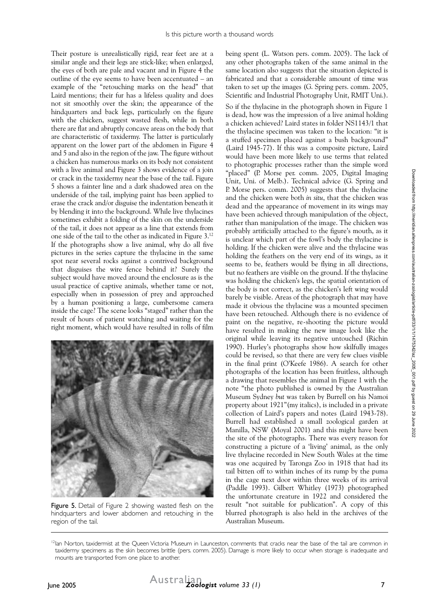Their posture is unrealistically rigid, rear feet are at a similar angle and their legs are stick-like; when enlarged, the eyes of both are pale and vacant and in Figure 4 the outline of the eye seems to have been accentuated – an example of the "retouching marks on the head" that Laird mentions; their fur has a lifeless quality and does not sit smoothly over the skin; the appearance of the hindquarters and back legs, particularly on the figure with the chicken, suggest wasted flesh, while in both there are flat and abruptly concave areas on the body that are characteristic of taxidermy. The latter is particularly apparent on the lower part of the abdomen in Figure 4 and 5 and also in the region of the jaw. The figure without a chicken has numerous marks on its body not consistent with a live animal and Figure 3 shows evidence of a join or crack in the taxidermy near the base of the tail. Figure 5 shows a fainter line and a dark shadowed area on the underside of the tail, implying paint has been applied to erase the crack and/or disguise the indentation beneath it by blending it into the background. While live thylacines sometimes exhibit a folding of the skin on the underside of the tail, it does not appear as a line that extends from one side of the tail to the other as indicated in Figure 3.12 If the photographs show a live animal, why do all five pictures in the series capture the thylacine in the same spot near several rocks against a contrived background that disguises the wire fence behind it? Surely the subject would have moved around the enclosure as is the usual practice of captive animals, whether tame or not, especially when in possession of prey and approached by a human positioning a large, cumbersome camera inside the cage? The scene looks "staged" rather than the result of hours of patient watching and waiting for the right moment, which would have resulted in rolls of film



Figure 5. Detail of Figure 2 showing wasted flesh on the hindquarters and lower abdomen and retouching in the region of the tail.

being spent (L. Watson pers. comm. 2005). The lack of any other photographs taken of the same animal in the same location also suggests that the situation depicted is fabricated and that a considerable amount of time was taken to set up the images (G. Spring pers. comm. 2005, Scientific and Industrial Photography Unit, RMIT Uni.).

So if the thylacine in the photograph shown in Figure 1 is dead, how was the impression of a live animal holding a chicken achieved? Laird states in folder NS1143/1 that the thylacine specimen was taken to the location: "it is a stuffed specimen placed against a bush background" (Laird 1945-77). If this was a composite picture, Laird would have been more likely to use terms that related to photographic processes rather than the simple word "placed" (P. Morse per. comm. 2005, Digital Imaging Unit, Uni. of Melb.). Technical advice (G. Spring and P. Morse pers. comm. 2005) suggests that the thylacine and the chicken were both *in situ*, that the chicken was dead and the appearance of movement in its wings may have been achieved through manipulation of the object, rather than manipulation of the image. The chicken was probably artificially attached to the figure's mouth, as it is unclear which part of the fowl's body the thylacine is holding. If the chicken were alive and the thylacine was holding the feathers on the very end of its wings, as it seems to be, feathers would be flying in all directions, but no feathers are visible on the ground. If the thylacine was holding the chicken's legs, the spatial orientation of the body is not correct, as the chicken's left wing would barely be visible. Areas of the photograph that may have made it obvious the thylacine was a mounted specimen have been retouched. Although there is no evidence of paint on the negative, re-shooting the picture would have resulted in making the new image look like the original while leaving its negative untouched (Richin 1990). Hurley's photographs show how skilfully images could be revised, so that there are very few clues visible in the final print (O'Keefe 1986). A search for other photographs of the location has been fruitless, although a drawing that resembles the animal in Figure 1 with the note "the photo published is owned by the Australian Museum Sydney *but* was taken by Burrell on his Namoi property about 1921"(my italics), is included in a private collection of Laird's papers and notes (Laird 1943-78). Burrell had established a small zoological garden at Manilla, NSW (Moyal 2001) and this might have been the site of the photographs. There was every reason for constructing a picture of a 'living' animal, as the only live thylacine recorded in New South Wales at the time was one acquired by Taronga Zoo in 1918 that had its tail bitten off to within inches of its rump by the puma in the cage next door within three weeks of its arrival (Paddle 1993). Gilbert Whitley (1973) photographed the unfortunate creature in 1922 and considered the result "not suitable for publication". A copy of this blurred photograph is also held in the archives of the Australian Museum.

<sup>&</sup>lt;sup>12</sup>Ian Norton, taxidermist at the Queen Victoria Museum in Launceston, comments that cracks near the base of the tail are common in taxidermy specimens as the skin becomes brittle (pers. comm. 2005). Damage is more likely to occur when storage is inadequate and mounts are transported from one place to another.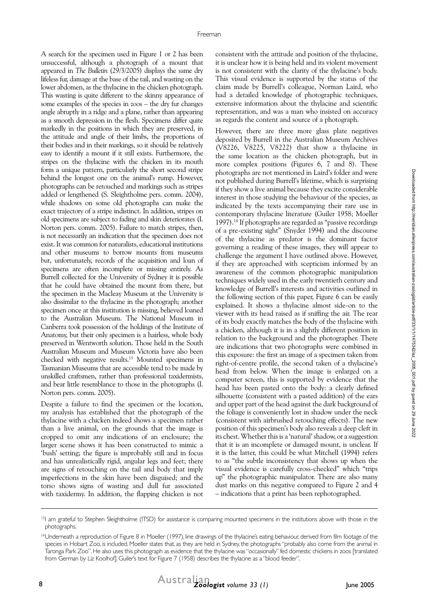A search for the specimen used in Figure 1 or 2 has been unsuccessful, although a photograph of a mount that appeared in *The Bulletin* (29/3/2005) displays the same dry lifeless fur, damage at the base of the tail, and wasting on the lower abdomen, as the thylacine in the chicken photograph. This wasting is quite different to the skinny appearance of some examples of the species in zoos – the dry fur changes angle abruptly in a ridge and a plane, rather than appearing as a smooth depression in the flesh. Specimens differ quite markedly in the positions in which they are preserved, in the attitude and angle of their limbs, the proportions of their bodies and in their markings, so it should be relatively easy to identify a mount if it still exists. Furthermore, the stripes on the thylacine with the chicken in its mouth form a unique pattern, particularly the short second stripe behind the longest one on the animal's rump. However, photographs can be retouched and markings such as stripes added or lengthened (S. Sleightholme pers. comm. 2004), while shadows on some old photographs can make the exact trajectory of a stripe indistinct. In addition, stripes on old specimens are subject to fading and skin deteriorates (I. Norton pers. comm. 2005). Failure to match stripes, then, is not necessarily an indication that the specimen does not exist. It was common for naturalists, educational institutions and other museums to borrow mounts from museums but, unfortunately, records of the acquisition and loan of specimens are often incomplete or missing entirely. As Burrell collected for the University of Sydney it is possible that he could have obtained the mount from there, but the specimen in the Macleay Museum at the University is also dissimilar to the thylacine in the photograph; another specimen once at this institution is missing, believed loaned to the Australian Museum. The National Museum in Canberra took possession of the holdings of the Institute of Anatomy, but their only specimen is a hairless, whole body preserved in Wentworth solution. Those held in the South Australian Museum and Museum Victoria have also been checked with negative results.13 Mounted specimens in Tasmanian Museums that are accessible tend to be made by unskilled craftsmen, rather than professional taxidermists, and bear little resemblance to those in the photographs (I. Norton pers. comm. 2005).

Despite a failure to find the specimen or the location, my analysis has established that the photograph of the thylacine with a chicken indeed shows a specimen rather than a live animal, on the grounds that the image is cropped to omit any indications of an enclosure; the larger scene shows it has been constructed to mimic a 'bush' setting; the figure is improbably still and in focus and has unrealistically rigid, angular legs and feet; there are signs of retouching on the tail and body that imply imperfections in the skin have been disguised; and the torso shows signs of wasting and dull fur associated with taxidermy. In addition, the flapping chicken is not consistent with the attitude and position of the thylacine, it is unclear how it is being held and its violent movement is not consistent with the clarity of the thylacine's body. This visual evidence is supported by the status of the claim made by Burrell's colleague, Norman Laird, who had a detailed knowledge of photographic techniques, extensive information about the thylacine and scientific representation, and was a man who insisted on accuracy as regards the content and source of a photograph.

However, there are three more glass plate negatives deposited by Burrell in the Australian Museum Archives (V8226, V8225, V8222) that show a thylacine in the same location as the chicken photograph, but in more complex positions (Figures 6, 7 and 8). These photographs are not mentioned in Laird's folder and were not published during Burrell's lifetime, which is surprising if they show a live animal because they excite considerable interest in those studying the behaviour of the species, as indicated by the texts accompanying their rare use in contemporary thylacine literature (Guiler 1958; Moeller 1997).14 If photographs are regarded as "passive recordings of a pre-existing sight" (Snyder 1994) and the discourse of the thylacine as predator is the dominant factor governing a reading of these images, they will appear to challenge the argument I have outlined above. However, if they are approached with scepticism informed by an awareness of the common photographic manipulation techniques widely used in the early twentieth century and knowledge of Burrell's interests and activities outlined in the following section of this paper, Figure 6 can be easily explained. It shows a thylacine almost side-on to the viewer with its head raised as if sniffing the air. The rear of its body exactly matches the body of the thylacine with a chicken, although it is in a slightly different position in relation to the background and the photographer. There are indications that two photographs were combined in this exposure: the first an image of a specimen taken from right-of-centre profile, the second taken of a thylacine's head from below. When the image is enlarged on a computer screen, this is supported by evidence that the head has been pasted onto the body: a clearly defined silhouette (consistent with a pasted addition) of the ears and upper part of the head against the dark background of the foliage is conveniently lost in shadow under the neck (consistent with airbrushed retouching effects). The new position of this specimen's body also reveals a deep cleft in its chest. Whether this is a 'natural' shadow, or a suggestion that it is an incomplete or damaged mount, is unclear. If it is the latter, this could be what Mitchell (1994) refers to as "the subtle inconsistency that shows up when the visual evidence is carefully cross-checked" which "trips up" the photographic manipulator. There are also many dust marks on this negative compared to Figure 2 and 4 – indications that a print has been rephotographed.

<sup>&</sup>lt;sup>13</sup>I am grateful to Stephen Sleightholme (ITSD) for assistance is comparing mounted specimens in the institutions above with those in the photographs.

<sup>14</sup>Underneath a reproduction of Figure 8 in Moeller (1997), line drawings of the thylacine's eating behaviour, derived from film footage of the species in Hobart Zoo, is included. Moeller states that, as they are held in Sydney, the photographs "probably also come from the animal in Taronga Park Zoo". He also uses this photograph as evidence that the thylacine was "occasionally" fed domestic chickens in zoos [translated from German by Liz Koolhof]. Guiler's text for Figure 7 (1958) describes the thylacine as a "blood feeder".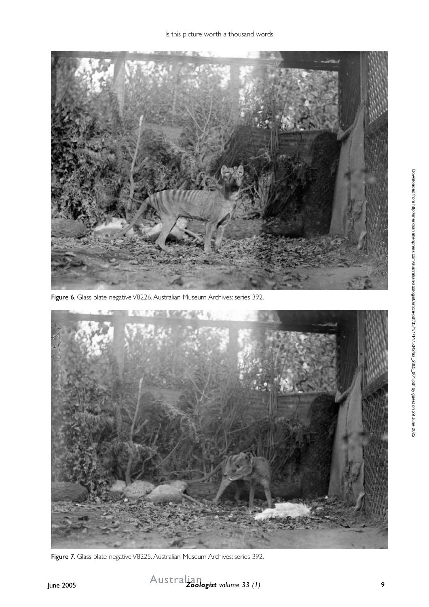

Figure 6. Glass plate negative V8226. Australian Museum Archives: series 392.



Figure 7. Glass plate negative V8225. Australian Museum Archives: series 392.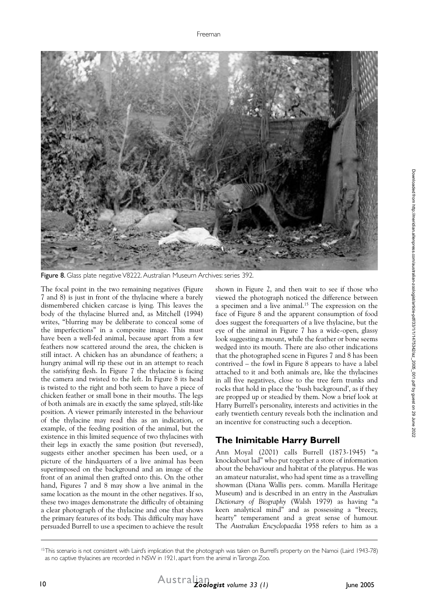

Figure 8. Glass plate negative V8222. Australian Museum Archives: series 392.

The focal point in the two remaining negatives (Figure 7 and 8) is just in front of the thylacine where a barely dismembered chicken carcase is lying. This leaves the body of the thylacine blurred and, as Mitchell (1994) writes, "blurring may be deliberate to conceal some of the imperfections" in a composite image. This must have been a well-fed animal, because apart from a few feathers now scattered around the area, the chicken is still intact. A chicken has an abundance of feathers; a hungry animal will rip these out in an attempt to reach the satisfying flesh. In Figure 7 the thylacine is facing the camera and twisted to the left. In Figure 8 its head is twisted to the right and both seem to have a piece of chicken feather or small bone in their mouths. The legs of both animals are in exactly the same splayed, stilt-like position. A viewer primarily interested in the behaviour of the thylacine may read this as an indication, or example, of the feeding position of the animal, but the existence in this limited sequence of two thylacines with their legs in exactly the same position (but reversed), suggests either another specimen has been used, or a picture of the hindquarters of a live animal has been superimposed on the background and an image of the front of an animal then grafted onto this. On the other hand, Figures 7 and 8 may show a live animal in the same location as the mount in the other negatives. If so, these two images demonstrate the difficulty of obtaining a clear photograph of the thylacine and one that shows the primary features of its body. This difficulty may have persuaded Burrell to use a specimen to achieve the result

shown in Figure 2, and then wait to see if those who viewed the photograph noticed the difference between a specimen and a live animal.15 The expression on the face of Figure 8 and the apparent consumption of food does suggest the forequarters of a live thylacine, but the eye of the animal in Figure 7 has a wide-open, glassy look suggesting a mount, while the feather or bone seems wedged into its mouth. There are also other indications that the photographed scene in Figures 7 and 8 has been contrived – the fowl in Figure 8 appears to have a label attached to it and both animals are, like the thylacines in all five negatives, close to the tree fern trunks and rocks that hold in place the 'bush background', as if they are propped up or steadied by them. Now a brief look at Harry Burrell's personality, interests and activities in the early twentieth century reveals both the inclination and an incentive for constructing such a deception.

## **The Inimitable Harry Burrell**

Ann Moyal (2001) calls Burrell (1873-1945) "a knockabout lad" who put together a store of information about the behaviour and habitat of the platypus. He was an amateur naturalist, who had spent time as a travelling showman (Diana Wallis pers. comm. Manilla Heritage Museum) and is described in an entry in the *Australian Dictionary of Biography* (Walsh 1979) as having "a keen analytical mind" and as possessing a "breezy, hearty" temperament and a great sense of humour. The *Australian Encyclopaedia* 1958 refers to him as a

<sup>&</sup>lt;sup>15</sup>This scenario is not consistent with Laird's implication that the photograph was taken on Burrell's property on the Namoi (Laird 1943-78) as no captive thylacines are recorded in NSW in 1921, apart from the animal in Taronga Zoo.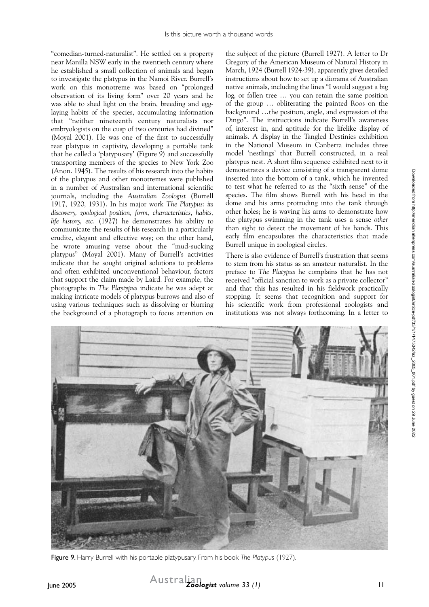"comedian-turned-naturalist". He settled on a property near Manilla NSW early in the twentieth century where he established a small collection of animals and began to investigate the platypus in the Namoi River. Burrell's work on this monotreme was based on "prolonged observation of its living form" over 20 years and he was able to shed light on the brain, breeding and egglaying habits of the species, accumulating information that "neither nineteenth century naturalists nor embryologists on the cusp of two centuries had divined" (Moyal 2001). He was one of the first to successfully rear platypus in captivity, developing a portable tank that he called a 'platypusary' (Figure 9) and successfully transporting members of the species to New York Zoo (Anon. 1945). The results of his research into the habits of the platypus and other monotremes were published in a number of Australian and international scientific journals, including the *Australian Zoologist* (Burrell 1917, 1920, 1931). In his major work *The Platypus: its discovery, zoological position, form, characteristics, habits, life history, etc.* (1927) he demonstrates his ability to communicate the results of his research in a particularly erudite, elegant and effective way; on the other hand, he wrote amusing verse about the "mud-sucking platypus" (Moyal 2001). Many of Burrell's activities indicate that he sought original solutions to problems and often exhibited unconventional behaviour, factors that support the claim made by Laird. For example, the photographs in *The Playtypus* indicate he was adept at making intricate models of platypus burrows and also of using various techniques such as dissolving or blurring the background of a photograph to focus attention on

the subject of the picture (Burrell 1927). A letter to Dr Gregory of the American Museum of Natural History in March, 1924 (Burrell 1924-39), apparently gives detailed instructions about how to set up a diorama of Australian native animals, including the lines "I would suggest a big log, or fallen tree … you can retain the same position of the group … obliterating the painted Roos on the background …the position, angle, and expression of the Dingo". The instructions indicate Burrell's awareness of, interest in, and aptitude for the lifelike display of animals. A display in the Tangled Destinies exhibition in the National Museum in Canberra includes three model 'nestlings' that Burrell constructed, in a real platypus nest. A short film sequence exhibited next to it demonstrates a device consisting of a transparent dome inserted into the bottom of a tank, which he invented to test what he referred to as the "sixth sense" of the species. The film shows Burrell with his head in the dome and his arms protruding into the tank through other holes; he is waving his arms to demonstrate how the platypus swimming in the tank uses a sense *other* than sight to detect the movement of his hands. This early film encapsulates the characteristics that made Burrell unique in zoological circles.

There is also evidence of Burrell's frustration that seems to stem from his status as an amateur naturalist. In the preface to *The Platypus* he complains that he has not received "official sanction to work as a private collector" and that this has resulted in his fieldwork practically stopping. It seems that recognition and support for his scientific work from professional zoologists and institutions was not always forthcoming. In a letter to



Figure 9. Harry Burrell with his portable platypusary. From his book *The Platypus* (1927).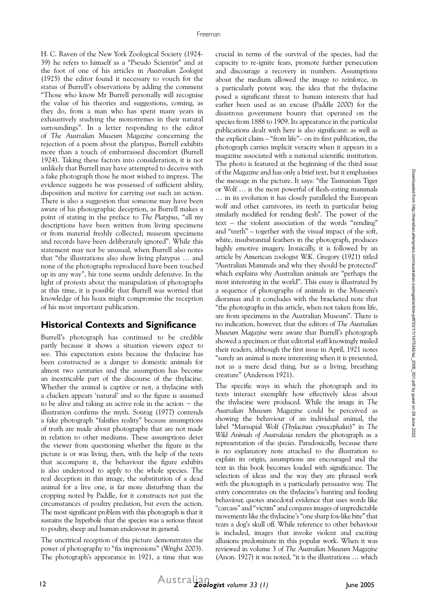H. C. Raven of the New York Zoological Society (1924- 39) he refers to himself as a "Pseudo Scientist" and at the foot of one of his articles in *Australian Zoologist* (1925) the editor found it necessary to vouch for the status of Burrell's observations by adding the comment "Those who know Mr Burrell personally will recognise the value of his theories and suggestions, coming, as they do, from a man who has spent many years in exhaustively studying the monotremes in their natural surroundings". In a letter responding to the editor of *The Australian Museum Magazine* concerning the rejection of a poem about the platypus, Burrell exhibits more than a touch of embarrassed discomfort (Burrell 1924). Taking these factors into consideration, it is not unlikely that Burrell may have attempted to deceive with a fake photograph those he most wished to impress. The evidence suggests he was possessed of sufficient ability, disposition and motive for carrying out such an action. There is also a suggestion that someone may have been aware of his photographic deception, as Burrell makes a point of stating in the preface to *The Platypus*, "all my descriptions have been written from living specimens or from material freshly collected; museum specimens and records have been deliberately ignored". While this statement may not be unusual, when Burrell also notes that "the illustrations also show living platypus … and none of the photographs reproduced have been touched up in any way", his tone seems unduly defensive. In the light of protests about the manipulation of photographs at this time, it is possible that Burrell was worried that knowledge of his hoax might compromise the reception of his most important publication.

#### **Historical Contexts and Significance**

Burrell's photograph has continued to be credible partly because it shows a situation viewers *expect* to see. This expectation exists because the thylacine has been constructed as a danger to domestic animals for almost two centuries and the assumption has become an inextricable part of the discourse of the thylacine. Whether the animal is captive or not, a thylacine with a chicken appears 'natural' and so the figure is assumed to be alive and taking an active role in the action  $-$  the illustration confirms the myth. Sontag (1977) contends a fake photograph "falsifies reality" because assumptions of truth are made about photography that are not made in relation to other mediums. These assumptions deter the viewer from questioning whether the figure in the picture is or was living, then, with the help of the texts that accompany it, the behaviour the figure exhibits is also understood to apply to the whole species. The real deception in this image, the substitution of a dead animal for a live one, is far more disturbing than the cropping noted by Paddle, for it constructs not just the circumstances of poultry predation, but even the action. The most significant problem with this photograph is that it sustains the hyperbole that the species was a serious threat to poultry, sheep and human endeavour in general.

The uncritical reception of this picture demonstrates the power of photography to "fix impressions" (Wright 2003). The photograph's appearance in 1921, a time that was crucial in terms of the survival of the species, had the capacity to re-ignite fears, promote further persecution and discourage a recovery in numbers. Assumptions about the medium allowed the image to reinforce, in a particularly potent way, the idea that the thylacine posed a significant threat to human interests that had earlier been used as an excuse (Paddle 2000) for the disastrous government bounty that operated on the species from 1888 to 1909. Its appearance in the particular publications dealt with here is also significant: as well as the explicit claim – "from life"– on its first publication, the photograph carries implicit veracity when it appears in a magazine associated with a national scientific institution. The photo is featured at the beginning of the third issue of the *Magazine* and has only a brief text, but it emphasises the message in the picture. It says: "the Tasmanian Tiger or Wolf … is the most powerful of flesh-eating mammals … in its evolution it has closely paralleled the European wolf and other carnivores, its teeth in particular being similarly modified for rending flesh". The power of the text – the violent association of the words "rending" and "teeth" – together with the visual impact of the soft, white, insubstantial feathers in the photograph, produces highly emotive imagery. Ironically, it is followed by an article by American zoologist W.K. Gregory (1921) titled "Australian Mammals and why they should be protected" which explains why Australian animals are "perhaps the most interesting in the world". This essay is illustrated by a sequence of photographs of animals in the Museum's dioramas and it concludes with the bracketed note that "the photographs in this article, when not taken from life, are from specimens in the Australian Museum". There is no indication, however, that the editors of *The Australian Museum Magazine* were aware that Burrell's photograph showed a specimen or that editorial staff knowingly misled their readers, although the first issue in April, 1921 notes "surely an animal is more interesting when it is presented, not as a mere dead thing, but as a living, breathing creature" (Anderson 1921).

The specific ways in which the photograph and its texts interact exemplify how effectively ideas about the thylacine were produced. While the image in *The Australian Museum Magazine* could be perceived as showing the behaviour of an individual animal, the label "Marsupial Wolf (*Thylacinus cynocephalus*)" in *The Wild Animals of Australasia* renders the photograph as a representation of the *species*. Paradoxically, because there is no explanatory note attached to the illustration to explain its origin, assumptions are encouraged and the text in this book becomes loaded with significance. The selection of ideas and the way they are phrased work with the photograph in a particularly persuasive way. The entry concentrates on the thylacine's hunting and feeding behaviour, quotes anecdotal evidence that uses words like "carcass" and "victim" and conjures images of unpredictable movements like the thylacine's "one sharp fox-like bite" that tears a dog's skull off. While reference to other behaviour is included, images that invoke violent and exciting allusions predominate in this popular work. When it was reviewed in volume 3 of *The Australian Museum Magazine*  (Anon. 1927) it was noted, "it is the illustrations … which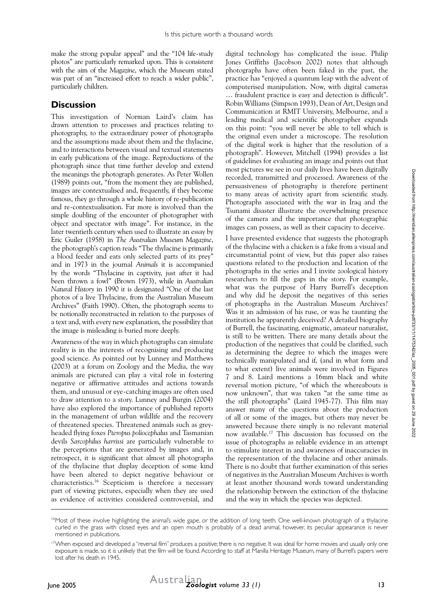make the strong popular appeal" and the "104 life-study photos" are particularly remarked upon. This is consistent with the aim of the *Magazine*, which the Museum stated was part of an "increased effort to reach a wider public", particularly children.

#### **Discussion**

This investigation of Norman Laird's claim has drawn attention to processes and practices relating to photography, to the extraordinary power of photographs and the assumptions made about them and the thylacine, and to interactions between visual and textual statements in early publications of the image. Reproductions of the photograph since that time further develop and extend the meanings the photograph generates. As Peter Wollen (1989) points out, "from the moment they are published, images are contextualised and, frequently, if they become famous, they go through a whole history of re-publication and re-contextualisation. Far more is involved than the simple doubling of the encounter of photographer with object and spectator with image". For instance, in the later twentieth century when used to illustrate an essay by Eric Guiler (1958) in *The Australian Museum Magazine*, the photograph's caption reads "The thylacine is primarily a blood feeder and eats only selected parts of its prey" and in 1973 in the journal *Animals* it is accompanied by the words "Thylacine in captivity, just after it had been thrown a fowl" (Brown 1973), while in *Australian Natural History* in 1990 it is designated "One of the last photos of a live Thylacine, from the Australian Museum Archives" (Faith 1990). Often, the photograph seems to be notionally reconstructed in relation to the purposes of a text and, with every new explanation, the possibility that the image is misleading is buried more deeply.

Awareness of the way in which photographs can simulate reality is in the interests of recognising and producing good science. As pointed out by Lunney and Matthews (2003) at a forum on Zoology and the Media, the way animals are pictured can play a vital role in fostering negative or affirmative attitudes and actions towards them, and unusual or eye-catching images are often used to draw attention to a story. Lunney and Burgin (2004) have also explored the importance of published reports in the management of urban wildlife and the recovery of threatened species. Threatened animals such as greyheaded flying foxes *Pteropus poliocephalus* and Tasmanian devils *Sarcophilus harrissi* are particularly vulnerable to the perceptions that are generated by images and, in retrospect, it is significant that almost all photographs of the thylacine that display deception of some kind have been altered to depict negative behaviour or characteristics.16 Scepticism is therefore a necessary part of viewing pictures, especially when they are used as evidence of activities considered controversial, and

digital technology has complicated the issue. Philip Jones Griffiths (Jacobson 2002) notes that although photographs have often been faked in the past, the practice has "enjoyed a quantum leap with the advent of computerised manipulation. Now, with digital cameras … fraudulent practice is easy and detection is difficult". Robin Williams (Simpson 1993), Dean of Art, Design and Communication at RMIT University, Melbourne, and a leading medical and scientific photographer expands on this point: "you will never be able to tell which is the original even under a microscope. The resolution of the digital work is higher that the resolution of a photograph". However, Mitchell (1994) provides a list of guidelines for evaluating an image and points out that most pictures we see in our daily lives have been digitally recorded, transmitted and processed. Awareness of the persuasiveness of photography is therefore pertinent to many areas of activity apart from scientific study. Photographs associated with the war in Iraq and the Tsunami disaster illustrate the overwhelming presence of the camera and the importance that photographic images can possess, as well as their capacity to deceive.

I have presented evidence that suggests the photograph of the thylacine with a chicken is a fake from a visual and circumstantial point of view, but this paper also raises questions related to the production and location of the photographs in the series and I invite zoological history researchers to fill the gaps in the story. For example, what was the purpose of Harry Burrell's deception and why did he deposit the negatives of this series of photographs in the Australian Museum Archives? Was it an admission of his ruse, or was he taunting the institution he apparently deceived? A detailed biography of Burrell, the fascinating, enigmatic, amateur naturalist, is still to be written. There are many details about the production of the negatives that could be clarified, such as determining the degree to which the images were technically manipulated and if, (and in what form and to what extent) live animals were involved in Figures 7 and 8. Laird mentions a 16mm black and white reversal motion picture, "of which the whereabouts is now unknown", that was taken "at the same time as the still photographs" (Laird 1945-77). This film may answer many of the questions about the production of all or some of the images, but others may never be answered because there simply is no relevant material now available.17 This discussion has focussed on the issue of photographs as reliable evidence in an attempt to stimulate interest in and awareness of inaccuracies in the representation of the thylacine and other animals. There is no doubt that further examination of this series of negatives in the Australian Museum Archives is worth at least another thousand words toward understanding the relationship between the extinction of the thylacine and the way in which the species was depicted.

<sup>&</sup>lt;sup>16</sup>Most of these involve highlighting the animal's wide gape, or the addition of long teeth. One well-known photograph of a thylacine curled in the grass with closed eyes and an open mouth is probably of a dead animal, however, its peculiar appearance is never mentioned in publications.

<sup>&</sup>lt;sup>17</sup>When exposed and developed a "reversal film" produces a positive; there is no negative. It was ideal for home movies and usually only one exposure is made, so it is unlikely that the film will be found. According to staff at Manilla Heritage Museum, many of Burrell's papers were lost after his death in 1945.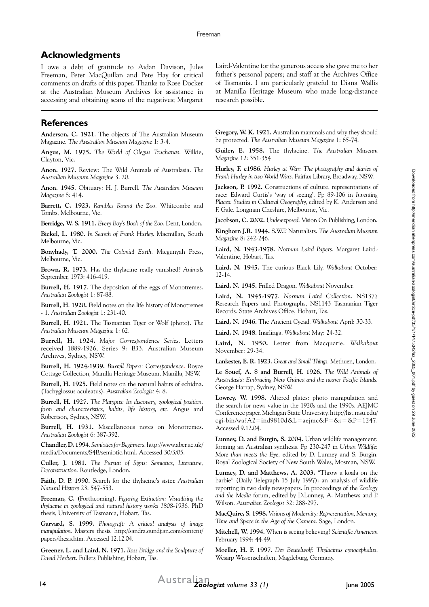## **Acknowledgments**

I owe a debt of gratitude to Aidan Davison, Jules Freeman, Peter MacQuillan and Pete Hay for critical comments on drafts of this paper. Thanks to Rose Docker at the Australian Museum Archives for assistance in accessing and obtaining scans of the negatives; Margaret

## **References**

**Anderson, C. 1921**. The objects of The Australian Museum Magazine*. The Australian Museum Magazine* 1: 3-4.

**Angus, M. 1975.** *The World of Olegus Truchanas.* Wilkie, Clayton, Vic.

**Anon. 1927.** Review: The Wild Animals of Australasia. *The Australian Museum Magazine* 3: 20.

**Anon. 1945**. Obituary: H. J. Burrell. *The Australian Museum Magazine* 8: 414.

**Barrett, C. 1923.** *Rambles Round the Zoo*. Whitcombe and Tombs, Melbourne, Vic.

**Berridge, W. S. 1911.** *Every Boy's Book of the Zoo.* Dent, London.

**Bickel, L. 1980.** *In Search of Frank Hurley.* Macmillan, South Melbourne, Vic.

**Bonyhady, T. 2000.** *The Colonial Earth.* Miegunyah Press, Melbourne, Vic.

**Brown, R. 1973.** Has the thylacine really vanished? *Animals* September, 1973: 416-419.

**Burrell, H. 1917**. The deposition of the eggs of Monotremes. *Australian Zoologist* 1: 87-88.

**Burrell, H**. **1920.** Field notes on the life history of Monotremes - 1. *Australian Zoologist* 1: 231-40.

**Burrell, H**. **1921.** The Tasmanian Tiger or Wolf (photo). *The Australian Museum Magazine* 1: 62.

**Burrell, H. 1924.** *Major Correspondence Series*. Letters received 1889-1926, Series 9: B33. Australian Museum Archives, Sydney, NSW.

**Burrell, H. 1924-1939.** *Burrell Papers: Correspondence*. Royce Cottage Collection, Manilla Heritage Museum, Manilla, NSW.

**Burrell, H. 1925.** Field notes on the natural habits of echidna. (Tachyglossus aculeatus). *Australian Zoologist* 4: 8.

**Burrell, H. 1927.** *The Platypus: Its discovery, zoological position, form and characteristics, habits, life history, etc.* Angus and Robertson, Sydney, NSW.

**Burrell, H. 1931.** Miscellaneous notes on Monotremes. *Australian Zoologist* 6: 387-392.

**Chandler, D. 1994**. *Semiotics for Beginners*.http://www.aber.ac.uk/ media/Documents/S4B/semiotic.html. Accessed 30/3/05.

**Culler, J. 1981.** *The Pursuit of Signs: Semiotics, Literature, Deconstruction.* Routledge, London.

**Faith, D. P. 1990.** Search for the thylacine's sister. *Australian Natural History* 23: 547-553.

**Freeman, C. (**Forthcoming). *Figuring Extinction: Visualising the thylacine in zoological and natural history works 1808-1936.* PhD thesis, University of Tasmania, Hobart, Tas.

**Garvard, S. 1999.** *Photograft: A critical analysis of image manipulation.* Masters thesis. http://sandra.oundjian.com/content/ papers/thesis.htm. Accessed 12.12.04.

**Greener, L. and Laird, N. 1971.** *Ross Bridge and the Sculpture of David Herbert*. Fullers Publishing, Hobart, Tas.

Laird-Valentine for the generous access she gave me to her father's personal papers; and staff at the Archives Office of Tasmania. I am particularly grateful to Diana Wallis at Manilla Heritage Museum who made long-distance research possible.

**Gregory, W. K. 1921.** Australian mammals and why they should be protected. *The Australian Museum Magazine* 1: 65-74.

**Guiler, E. 1958.** The thylacine. *The Australian Museum Magazine* 12: 351-354

**Hurley, F. c1986.** *Hurley at War: The photography and diaries of Frank Hurley in two World Wars*. Fairfax Library, Broadway, NSW.

Jackson, P. 1992. Constructions of culture, representations of race: Edward Curtis's 'way of seeing'. Pp 89-106 in *Inventing Places: Studies in Cultural Geography,* edited by K. Anderson and F. Gale. Longman Cheshire, Melbourne, Vic.

**Jacobson, C. 2002.** *Underexposed.* Vision On Publishing, London.

**Kinghorn J.R. 1944.** S.W.P. Naturalists. *The Australian Museum Magazine* 8: 242-246.

**Laird, N. 1943-1978.** *Norman Laird Papers.* Margaret Laird-Valentine, Hobart, Tas.

**Laird, N. 1945.** The curious Black Lily. *Walkabout* October: 12-14.

**Laird, N. 1945.** Frilled Dragon. *Walkabout* November.

**Laird, N. 1945-1977**. *Norman Laird Collection*. NS1377 Research Papers and Photographs, NS1143 Tasmanian Tiger Records*.* State Archives Office, Hobart, Tas.

**Laird, N. 1946.** The Ancient Cycad. *Walkabout* April: 30-33.

**Laird, N. 1948.** Inarlinga. *Walkabout* May: 24-32.

**Laird, N. 1950.** Letter from Macquarie. *Walkabout* November: 29-34.

**Lankester, E. R. 1923.** *Great and Small Things.* Methuen, London.

**Le Souef, A. S and Burrell, H**. **1926.** *The Wild Animals of Australasia: Embracing New Guinea and the nearer Pacific Islands.* George Harrap, Sydney, NSW.

**Lowrey, W. 1998.** Altered plates: photo manipulation and the search for news value in the 1920s and the 1990s. AEJMC Conference paper. Michigan State University. http://list.msu.edu/ cgi-bin/wa?A2=ind9810d&L=aejmc&F=&s=&P=1247. Accessed 9.12.04.

**Lunney, D. and Burgin, S. 2004.** Urban wildlife management: forming an Australian synthesis. Pp 230-247 in *Urban Wildlife: More than meets the Eye,* edited by D. Lunney and S. Burgin. Royal Zoological Society of New South Wales, Mosman, NSW.

**Lunney, D. and Matthews, A. 2003.** "Throw a koala on the barbie" (Daily Telegraph 15 July 1997): an analysis of wildlife reporting in two daily newspapers. In proceedings of the *Zoology and the Media* forum, edited by D.Lunney, A. Matthews and P. Wilson. *Australian Zoologist* 32: 288-297.

**MacQuire, S. 1998.** *Visions of Modernity: Representation, Memory, Time and Space in the Age of the Camera.* Sage, London.

**Mitchell, W. 1994.** When is seeing believing? *Scientific American* February 1994: 44-49.

**Moeller, H. F. 1997.** *Der Beutelwolf: Thylacinus cynocephalus*. Wesarp Wissenschaften, Magdeburg, Germany.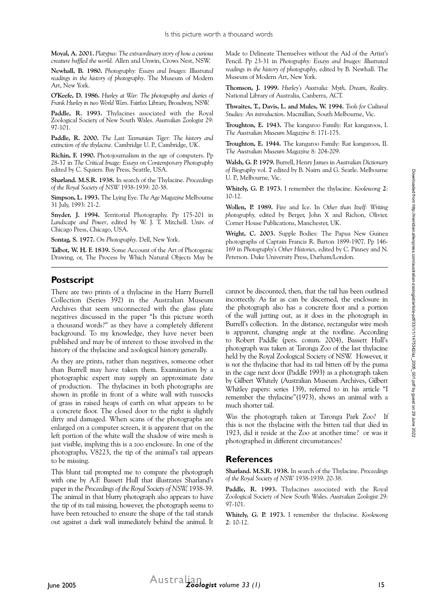**Moyal, A. 2001.** *Platypus: The extraordinary story of how a curious creature baffled the world.* Allen and Unwin, Crows Nest, NSW.

**Newhall, B. 1980.** *Photography: Essays and Images: Illustrated readings in the history of photography*. The Museum of Modern Art, New York.

**O'Keefe, D. 1986.** *Hurley at War: The photography and diaries of Frank Hurley in two World Wars*. Fairfax Library, Broadway, NSW.

**Paddle, R. 1993.** Thylacines associated with the Royal Zoological Society of New South Wales. *Australian Zoologist* 29: 97-101.

**Paddle, R. 2000.** *The Last Tasmanian Tiger: The history and extinction of the thylacine.* Cambridge U. P., Cambridge, UK.

**Richin, F. 1990.** Photojournalism in the age of computers. Pp 28-37 in *The Critical Image: Essays on Contemporary Photography*  edited by C. Squiers. Bay Press, Seattle, USA.

**Sharland. M.S.R. 1938.** In search of the Thylacine. *Proceedings of the Royal Society of NSW* 1938-1939: 20-38.

**Simpson, L. 1993.** The Lying Eye. *The Age Magazine* Melbourne 31 July, 1993: 21-2.

**Snyder, J. 1994.** Territorial Photography. Pp 175-201 in *Landscape and Power*, edited by W. J. T. Mitchell. Univ. of Chicago Press, Chicago, USA.

**Sontag, S. 1977.** *On Photography*. Dell, New York.

**Talbot, W. H. F. 1839.** Some Account of the Art of Photogenic Drawing, or, The Process by Which Natural Objects May be

Made to Delineate Themselves without the Aid of the Artist's Pencil. Pp 23-31 in *Photography: Essays and Images: Illustrated readings in the history of photography*, edited by B. Newhall. The Museum of Modern Art, New York.

**Thomson, J. 1999.** *Hurley's Australia: Myth, Dream, Reality*. National Library of Australia, Canberra, ACT.

**Thwaites, T., Davis, L. and Mules, W. 1994.** *Tools for Cultural Studies: An introduction*. Macmillan, South Melbourne, Vic.

**Troughton, E. 1943.** The kangaroo Family: Rat kangaroos, I. *The Australian Museum Magazine* 8: 171-175.

**Troughton, E. 1944.** The kangaroo Family: Rat kangaroos, II. *The Australian Museum Magazine* 8: 204-209.

**Walsh, G. P. 1979.** Burrell, Henry James in *Australian Dictionary of Biography* vol. **7** edited by B. Nairn and G. Searle. Melbourne U. P., Melbourne, Vic.

**Whitely, G. P. 1973.** I remember the thylacine. *Koolewong* **2**: 10-12.

**Wollen, P. 1989.** Fire and Ice. In *Other than Itself: Writing photography,* edited by Berger, John X and Richon, Olivier. Corner House Publications, Manchester, UK.

**Wright, C. 2003.** Supple Bodies: The Papua New Guinea photographs of Captain Francis R. Barton 1899-1907. Pp 146- 169 in *Photography's Other Histories*, edited by C. Pinney and N. Peterson. Duke University Press, Durham/London.

## **Postscript**

There are two prints of a thylacine in the Harry Burrell Collection (Series 392) in the Australian Museum Archives that seem unconnected with the glass plate negatives discussed in the paper "Is this picture worth a thousand words?" as they have a completely different background. To my knowledge, they have never been published and may be of interest to those involved in the history of the thylacine and zoological history generally.

As they are prints, rather than negatives, someone other than Burrell may have taken them. Examination by a photographic expert may supply an approximate date of production. The thylacines in both photographs are shown in profile in front of a white wall with tussocks of grass in raised heaps of earth on what appears to be a concrete floor. The closed door to the right is slightly dirty and damaged. When scans of the photographs are enlarged on a computer screen, it is apparent that on the left portion of the white wall the shadow of wire mesh is just visible, implying this is a zoo enclosure. In one of the photographs, V8223, the tip of the animal's tail appears to be missing.

This blunt tail prompted me to compare the photograph with one by A.F. Bassett Hull that illustrates Sharland's paper in the *Proceedings of the Royal Society of NSW,* 1938-39. The animal in that blurry photograph also appears to have the tip of its tail missing, however, the photograph seems to have been retouched to ensure the shape of the tail stands out against a dark wall immediately behind the animal. It

cannot be discounted, then, that the tail has been outlined incorrectly. As far as can be discerned, the enclosure in the photograph also has a concrete floor and a portion of the wall jutting out, as it does in the photograph in Burrell's collection. In the distance, rectangular wire mesh is apparent, changing angle at the roofline. According to Robert Paddle (pers. comm. 2004), Bassett Hull's photograph was taken at Taronga Zoo of the last thylacine held by the Royal Zoological Society of NSW. However, it is *not* the thylacine that had its tail bitten off by the puma in the cage next door (Paddle 1993) as a photograph taken by Gilbert Whitely (Australian Museum Archives, Gilbert Whitley papers: series 139), referred to in his article "I remember the thylacine"(1973), shows an animal with a much shorter tail.

Was the photograph taken at Taronga Park Zoo? If this is not the thylacine with the bitten tail that died in 1923, did it reside at the Zoo at another time? or was it photographed in different circumstances?

#### **References**

**Sharland. M.S.R. 1938.** In search of the Thylacine. *Proceedings of the Royal Society of NSW* 1938-1939: 20-38.

**Paddle, R. 1993.** Thylacines associated with the Royal Zoological Society of New South Wales. *Australian Zoologist* 29: 97-101.

**Whitely, G. P. 1973.** I remember the thylacine. *Koolewong* **2**: 10-12.